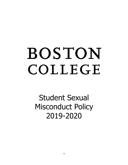# BOSTON COLLEGE

Student Sexual Misconduct Policy 2019-2020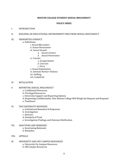#### **BOSTON COLLEGE STUDENT SEXUAL MISCONDUCT**

#### **POLICY INDEX**

#### I. INTRODUCTION

#### II. BUILDING AN EDUCATIONAL ENVIRONMENT FREE FROM SEXUAL MISCONDUCT

# III. PROHIBITED CONDUCT

#### a. Definitions

*i. Sexual Misconduct ii. Sexual Harassment iii. Sexual Assault a. Sexual Contact b. Sexual Penetration iv. Consent a. Incapacitation b. Coercion c. Force v. Sexual Exploitation vi. Intimate Partner Violence vii. Stalking viii. Complicity*

#### IV. RETALIATION

# V. REPORTING SEXUAL MISCONDUCT

- a. Confidential Resources
- b. Privileged Resources
- c. University Support and Reporting Options
- d. Requesting Confidentiality: How Boston College Will Weigh the Request and Respond
- e. Timeliness

# VI. THE UNIVERSITY RESPONSE

- a. Institutional Remedies & Responses
- b. Investigation
- c. Advisers
- d. Standard of Proof
- e. Investigation Findings and Outcome Notification
- VII. SANCTIONS AND REMEDIES a. Sanctioning Rationale b. Remedies
- VIII. APPEALS
- IX. UNIVERSITY AND OFF-CAMPUS RESOURCES a. University On-Campus Resources b. Off-Campus Resources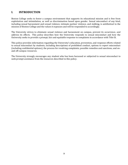# **I. INTRODUCTION**

Boston College seeks to foster a campus environment that supports its educational mission and is free from exploitation and intimidation, as well as discrimination based upon gender. Sexual misconduct of any kind, including sexual harassment and sexual violence, intimate partner violence, and stalking, is antithetical to the mission of Boston College and the values it espouses and will be responded to accordingly.

The University strives to eliminate sexual violence and harassment on campus, prevent its occurrence, and address its effects. This policy describes how the University responds to sexual misconduct and how the University seeks to provide a prompt, fair and equitable response to complaints in accordance with Title IX.

This policy provides information regarding the University's education, prevention, and response efforts related to sexual misconduct by students, including descriptions of prohibited conduct, options to report misconduct (including confidential options), the process for resolving complaints, possible remedies and sanctions, and onand off-campus resources.

The University strongly encourages any student who has been harassed or subjected to sexual misconduct to seek prompt assistance from the resources described in this policy.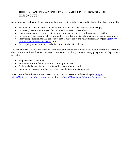# **II. BUILDING AN EDUCATIONAL ENVIRONMENT FREE FROM SEXUAL MISCONDUCT**

All members of the Boston College community play a role in building a safe and just educational environment by:

- Modeling healthy and respectful behavior in personal and professional relationships;
- Increasing personal awareness of what constitutes sexual misconduct;
- Speaking out against conduct that encourages sexual misconduct or discourages reporting;
- Developing the necessary skills to be an effective and supportive ally to victims of sexual misconduct;
- Intervening in situations that can lead to sexual misconduct and related misbehavior (see **Bystander**) *Intervention Education Program*); and
- Interrupting an incident of sexual misconduct, if it is safe to do so.

The University has created and identified resources, both across campus and in the Boston community, to reduce, eliminate, and address the effects of sexual misconduct involving students. Many programs and departments serve to:

- Help ensure a safe campus;
- Provide education about sexual misconduct prevention;
- Assist and advocate for anyone affected by sexual violence; and
- Ensure a fair process for all parties when sexual misconduct is reported.

Learn more about the education, prevention, and response resources by reading the *Campus Sexual Violence Prevention Program* and visiting the *Sexual Misconduct Policy and Resources* page.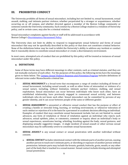# **III.** PROHIBITED CONDUCT

The University prohibits all forms of sexual misconduct, including but not limited to, sexual harassment, sexual assault, stalking, and intimate partner violence, whether perpetrated by a stranger or acquaintance, whether occurring on or off campus, and whether directed against a member of the Boston College community or someone outside the University community. Such conduct by a Boston College student is a violation of University policy, and in certain cases, may also be a criminal violation.

Sexual misconduct complaints against faculty or staff will be addressed in accordance with Boston College's Discriminatory Harassment Policy.

The University does not limit its ability to respond to inappropriate sexual behavior and forms of sexual misconduct that may not be specifically described in this policy or that does not constitute criminal behavior. None of the definitions below may be read to inhibit the University's ability to address any incident or conduct that it reasonably deems to constitute sexual misconduct or create a discriminatory environment.

In most cases, attempted acts of conduct that are prohibited by this policy will be treated as instances of sexual misconduct under this policy.

# **a. DEFINITIONS**

Some of these terms may have different meanings in other contexts, such as criminal statutes, and they are not mutually exclusive of each other. For the purposes of this policy, the following terms have the meanings given to them below. The *Campus Sexual Violence Response and Prevention Program* includes definitions of relevant terms under Massachusetts criminal law.

- i. **SEXUAL MISCONDUCT** is a broad term that encompasses a range of conduct including all forms of sexual harassment, including sexual assault, as well as other forms of misconduct or violence of a sexual nature, including, without limitation, intimate partner violence, stalking, and sexual exploitation. Sexual misconduct can occur between individuals who know each other, have an established relationship, have previously engaged in consensual sexual activity, and between individuals who do not know each other. Sexual misconduct can be committed by persons of any gender identity, and it can occur between people of the same or different gender.
- ii. **SEXUAL HARASSMENT** is unwanted or offensive sexual conduct that has the purpose or effect of creating a hostile or stressful living, learning, or working environment, or whenever toleration of such conduct or rejection of it is the basis for a personnel or academic decision affecting an individual. Examples of conduct that may constitute sexual harassment include, but are not limited to, sexual advances, any form of retaliation or threat of retaliation against an individual who rejects such advances, sexual epithets, jokes, or comments, comment or inquiry about an individual's body or sexual experiences, unwelcome leering, whistling, brushing against the body, sexual gestures, and displaying sexually suggestive images. A single incident of sexual assault or other serious sexual misconduct may be sufficiently severe to constitute sexual harassment.
- iii. **SEXUAL ASSAULT** is any sexual contact or sexual penetration with another individual without consent.
	- a. *SEXUAL CONTACT* includes intentional contact with the intimate parts of another person, causing another person to touch one's intimate parts, or disrobing or exposure of another person without permission. Intimate parts may include the breasts, genitals, buttocks, groin, mouth, or any other part of the body that is touched in a sexual manner. Sexual contact includes kissing and attempted sexual penetration.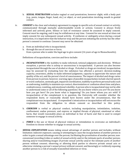- b. **SEXUAL PENETRATION** includes vaginal or anal penetration, however slight, with a body part (e.g., penis, tongue, finger, hand, etc.) or object, or oral penetration involving mouth to genital contact.
- iv. *CONSENT* is the clear and voluntary agreement to engage in specific acts of sexual contact or activity, communicated through mutually understandable words or actions. Consent is always freely informed and actively given. Silence or lack of resistance cannot be assumed to imply consent. Consent must be ongoing, and it may be withdrawn at any time. Consent for one sexual act does not imply consent for any subsequent sexual activity. If confusion or ambiguity arises during a sexual interaction, it is imperative that the behavior stop and the person initiating the activity has the other person's consent to continue. Consent may never be obtained:
	- a. from an individual who is incapacitated;
	- b. through the use of coercion or force; from a person who is under the legal age to give consent (16 years of age in Massachusetts);

Definitions of incapacitation, coercion and force include:

- a. *INCAPACITATION* is the inability to make informed, rational judgments and decisions. Without exception, a person who is asleep or unconscious is incapacitated. A person can also become incapacitated through the use of alcohol or drugs. If alcohol or drugs are involved, incapacitation may be assessed by evaluating how the substance has affected a person's decision-making capacity, awareness, ability to make informed judgments, capacity to appreciate the nature and quality of the act, and the person's level of consciousness. The impact of alcohol and drugs varies from person to person; however, warning signs of possible incapacitation include slurred speech or word confusion, unsteady gait, impaired coordination, inability to perform personal tasks such as undressing, inability to maintain eye contact, disorientation or confusion about time and place, combativeness, vomiting, and emotional volatility. A person who is incapacitated may not be able to understand some or all of the following questions: Do you know where you are? Do you know how you got here? Do you know what is happening? Do you know whom you are with? If incapacitation of the complainant is in question, the University will consider whether the respondent knew, or reasonably should have known under the circumstances, that the complainant was incapacitated. A respondent's intoxication or incapacitation will not excuse the respondent from the obligation to obtain consent as described in this policy.
- b. **COERCION** is verbal or physical conduct, including manipulation, intimidation, isolation, confinement, undue pressure, and express or implied threats of physical, emotional or other harm, that would reasonably place an individual in fear of harm and that is used to compel someone to engage in sexual activity.
- c. **FORCE** is the use or threat of physical violence or intimidation to overcome an individual's freedom to choose whether to engage in sexual activity.
- v. **SEXUAL EXPLOITATION** means taking sexual advantage of another person and includes, without limitation: indecent exposure; causing or attempting to cause the incapacitation of another person in order to gain a sexual advantage over the person; facilitating the prostitution of another person; nonconsensual recording (video or audio) of sexual activity and/or the intimate parts of another person; sharing and/or transmitting images of private sexual activity and/or the intimate parts of another person without consent; observing or allowing third parties to observe private sexual acts or otherwise violating a person's sexual privacy without consent; and knowingly or recklessly exposing another person to a risk of sexually transmitted infection or virus.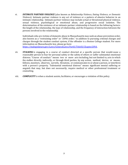vi. **INTIMATE PARTNER VIOLENCE** (also known as *Relationship Violence, Dating Violence, or Domestic Violence*). Intimate partner violence is any act of violence or a pattern of abusive behavior in an intimate relationship. Intimate partner violence may include actual or threatened physical violence, sexual violence, psychological or emotional abuse, and progressive social isolation. The determination of the existence of an intimate partner relationship is based on the following factors: the length of the relationship, the type of relationship, and the frequency of interaction between the persons involved in the relationship.

Individuals who are victims of domestic abuse in Massachusetts may seek an abuse prevention order, also known as a "restraining order" or "209A order," in addition to pursuing criminal charges and charges through the student conduct system, if the offender is a Boston College student. For more information on Massachusetts law, please go here: https://malegislature.gov/Laws/GeneralLaws/PartII/TitleIII/Chapter209A.

- vii. **STALKING** is engaging in a course of conduct directed at a specific person that would cause a reasonable person to fear for personal safety or the safety of others or suffer substantial emotional distress. "Course of conduct:" means two or more acts including, but not limited to, acts in which the stalker directly, indirectly, or through third parties, by any action, method, device, or means, follows, monitors, observes, surveils, threatens, or communicates to or about a person, or interferes with a person's property. "Substantial emotional distress" means significant mental suffering or anguish that may, but does not necessarily, require medical or other professional treatment or counseling.
- viii. **COMPLICITY** is when a student assists, facilitates, or encourages a violation of this policy.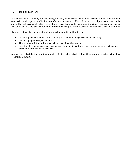# **IV. RETALIATION**

It is a violation of University policy to engage, directly or indirectly, in any form of retaliation or intimidation in connection with reports or adjudications of sexual misconduct. This policy and related processes may also be applied to address any allegation that a student has attempted to prevent an individual from reporting sexual misconduct or has engaged in any acts of intimidation or reprisal with respect to any reported sexual misconduct.

Conduct that may be considered retaliatory includes, but is not limited to:

- Discouraging an individual from reporting an incident of alleged sexual misconduct;
- Discouraging witness participation;
- Threatening or intimidating a participant in an investigation; or
- Intentionally causing negative consequences for a participant in an investigation or for a participant's personal relationships or social circles.

Any such acts of retaliation or intimidation by a Boston College student should be promptly reported to the Office of Student Conduct.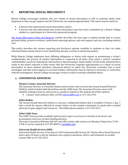# **V. REPORTING SEXUAL MISCONDUCT**

Boston College encourages students who are victims of sexual misconduct to talk to someone about what happened so they can get support and the University can respond appropriately. The report may be made by:

- A person who experienced sexual misconduct; and/or
- A person who has information that sexual misconduct may have been committed by a Boston College student or a participant in a University sponsored program.

*The Sexual Misconduct Policy and Resource* website describes the first steps a student should take to ensure personal safety, preserve evidence, understand reporting options, and seek support and care, including medical care.

This policy describes the various reporting and disclosure options available to students so they can make informed choices about where to turn should they become a victim of sexual misconduct.

While Boston College employees have differing obligations or duties with respect to maintaining a victim's confidentiality, the privacy of student information is respected at all times. Even when a victim's complete confidentiality cannot be maintained, information is shared among a small number of University administrators solely to the extent required to help ensure that the University responds appropriately to a report of sexual misconduct. In those limited situations (discussed below) in which the University concludes that it must investigate and take action against an accused student, information may be shared as necessary in connection with the investigation. Boston College encourages victims to talk to someone identified below.

# **a. CONFIDENTIAL RESOURCES**

## *Women's Center, Associate Director*

The Associate Director is a licensed clinical social worker who oversees the Sexual Assault Network (SANet), which includes both the hotline and the CARE team. The Associate Director meets with students seeking resources and serves as a guide to explain to the student all of their options.

• Contact: *Claire Johnson Allen, LICSW, johnsovj@bc.edu or 617-552-2735.* 

#### *SANet Hotline*

The Sexual Assault Network Hotline is a private, confidential hotline that is available 24 hours a day, 7 days a week for anyone affected by sexual violence in the student community to speak with a trained advocate to gain support and resources. The SANet phone number is 617-552-2211.

#### **SANet CARE Team**

The CARE Team provides available options/next steps to survivors or friends of survivors, and accompanies survivors on their healing journeys.

The team is located in Maloney Hall 441 and offers daily walk-in hours on Monday-Friday from 3 P.M. -4 P.M. It can be reached at 617-552-8099 or sanet@bc.edu.

#### *University Health Services (UHS)*

University Health Services is located at 2150 Commonwealth Avenue (St. Thomas More Road Entrance) and is open 24 hours a day for inpatient care, urgent evaluations, advice, and treatment as needed. Contact UHS at *617-552-3225*.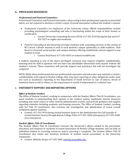# **b. PRIVILEGED RESOURCES**

## *Professional and Pastoral Counselors*

Professional Counselors and Pastoral Counselors, when acting in their professional capacity as described below, are not required to disclose a victim's report of sexual misconduct without the student's consent.

- *Professional Counselors* are employees of the University whose official responsibilities include providing psychological counseling and who is functioning within the scope of their license or certification.
	- o Contact University Counseling Services (UCS):  $617-552-3310$  during the day and  $617-$ 552-3227 on nights and weekends.
- *Pastoral Counseling* at the University provides students with counseling services in the context of BC's Jesuit, Catholic mission as well as each student's unique spirituality or faith tradition. Rick Rossi is a licensed social worker and campus minister offering confidential, clinical support to any student in need.
	- o Contact Rick Rossi: 617-552-6592 or richard.rossi@bc.edu

A student reporting to any of the above privileged resources may request complete confidentiality, meaning that the staff in question will not share any identifiable information with anyone without the student's consent. These counselors will provide support and assistance, but will not investigate the complaint.

NOTE: While these professional and non-professional counselors and advocates may maintain a victim's confidentiality with regard to Boston College, they may have reporting or other obligations under state law such as mandatory reporting to the Department of Youth Services in case of minors; threat of imminent harm to self or others; or the requirement to testify if subpoenaed in a criminal case.

# **c. UNIVERSITY SUPPORT AND REPORTING OPTIONS**

#### **Office of Student Conduct**

The Office of Student Conduct, working in conjunction with the Student Affairs Title IX Coordinator, can assist students in understanding their options in the conduct system, implement interim measures including stay-away orders or other interim administrative actions, and provide guidance and support regarding remedies including academic and housing concerns. The Office of Student Conduct, working with the Title IX Coordinator, also oversees the investigation and adjudication of sexual assault complaints against students.

• Contact: 617-552-3470 during normal business hours or the Administrator On-Call (outside of normal business hours) through Boston College Police 617-552-4444 (emergency); 617-552-4440 *(non-emergency).*

# *Student Affairs Title IX Coordinator*

The Student Affairs Title IX Coordinator oversees the University's efforts related to the prevention, education, and response to incidents of sexual misconduct by Boston College students, and can help an individual student in accessing resources and/or pursuing a complaint. The Student Affairs Title IX Coordinator also tracks and monitors incidents of student sexual misconduct in the University community.

• Contact: *Melinda Stoops, 617-552-3482, melinda.stoops@bc.edu.*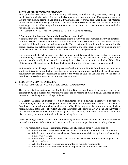## *Boston College Police Department (BCPD)*

BCPD provides assistance to victims including addressing immediate safety concerns, investigating incidents of sexual misconduct, filing a criminal complaint both on-campus and off-campus, and assisting victims with medical attention and care. BCPD will take a report from a student and a specially trained officer will conduct an investigation which involves asking the student to describe the respondent and what happened. An officer may ask questions about the scene of the crime, any witnesses, and what happened before and after.

• Contact: 617-552-4444 (emergency); 617-552-4440 (non-emergency).

# A Note about the Role and Responsibility of Faculty and Staff

A student may choose to disclose sexual misconduct to a faculty or staff member. Faculty and staff are required to report to the Student Affairs Title IX Coordinator when a student discloses sexual misconduct so that the University can respond appropriately. The report would include any information that the student decides to disclose, including the names of the victim and respondent(s), any witnesses, and any other relevant facts, including the date, time, and location of the alleged incident.

If a victim wants to tell a faculty or staff member what happened but also wishes to maintain confidentiality, a victim should understand that the University will consider the request, but cannot guarantee confidentiality in all cases. In reporting the details of the incident to the Student Affairs Title IX Coordinator, the employee will inform the Coordinator of the victim's request for confidentiality.

While students should expect that faculty and staff will inform the Title IX Coordinator, students who want the University to conduct an investigation or who wish to pursue institutional remedies and/or adjudication are strongly encouraged to contact the Office of Student Conduct and/or the Title IX Coordinator directly to ensure a more immediate response.

# **d. REQUESTING CONFIDENTIALITY**

*HOW BOSTON COLLEGE WILL WEIGH THE REQUEST AND RESPOND*

The University has designated the Student Affairs Title IX Coordinator to evaluate requests for confidentiality and oversee the University's response to reports of alleged sexual violence or other misconduct involving Boston College students.

If a victim discloses an incident to a non-confidential or non-privileged resource, but requests confidentiality or that no investigation or conduct action be pursued, the Student Affairs Title IX Coordinator, in consultation with a small number of key University administrators, which may include representatives of the Office of Student Conduct, the Boston College Police Department, and the Office of the General Counsel, will weigh the request against the University's obligation to provide a safe, nondiscriminatory environment for all students, including the victim.

When weighing a victim's request for confidentiality or that no investigation or conduct process be pursued, the Student Affairs Title IX Coordinator will consider a range of factors, including whether:

- The respondent is likely to commit additional acts of sexual or other violence, such as:
	- $\circ$  Whether there have been other sexual violence complaints about the same respondent;
	- $\circ$  Whether the respondent has a history of arrests or records from a prior school indicating a history of violence;
	- $\circ$  Whether the respondent threatened further sexual violence or other violence against the victim or others;
	- $\circ$  Whether the sexual violence was committed by multiple respondents;
	- $\circ$  Whether the sexual violence was severe, repeated, and/or ongoing in nature;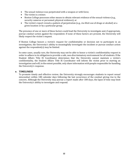- The sexual violence was perpetrated with a weapon or with force;
- The victim is a minor;
- Boston College possesses other means to obtain relevant evidence of the sexual violence (e.g., security cameras or personnel, physical evidence); or
- The victim's report reveals a pattern of perpetration (e.g., via illicit use of drugs or alcohol) at a given location or by a particular group.

The presence of one or more of these factors could lead the University to investigate and, if appropriate, pursue conduct action against the respondent. If none of these factors are present, the University will likely respect the victim's request.

If Boston College honors a victim's request for confidentiality or decision not to participate in an investigation, the University's ability to meaningfully investigate the incident or pursue conduct action against the respondent $(s)$  may be limited.

In some cases, usually rare, the University may not be able to honor a victim's confidentiality request in order to adhere to its obligation to provide a safe, non-discriminatory environment for all students. If the Student Affairs Title IX Coordinator determines that the University cannot maintain a victim's confidentiality, the Student Affairs Title IX Coordinator will inform the victim prior to starting an investigation and will, to the extent possible, only share information with people responsible for handling the University's response.

# **e. TIMELINESS**

To promote timely and effective review, the University strongly encourages students to report sexual misconduct within 180 calendar days following the last occurrence of the conduct giving rise to the concern. Although the University may pursue a report made after 180 days, the lapse of time may limit the University's ability to investigate and respond.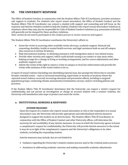# **VI.** THE UNIVERSITY RESPONSE

The Office of Student Conduct, in conjunction with the Student Affairs Title IX Coordinator, provides assistance and support to students. For students who report sexual misconduct, the Office of Student Conduct and the Student Affairs Title IX Coordinator can connect a student with support and counseling and will focus on the response and interim remedies needed to help the student. Students who report sexual misconduct violations in situations where they may also be responsible for Code of Student Conduct violations (e.g. possession of alcohol) will generally not be charged for these ancillary violations.

*Note:* victims do not need to participate in the conduct process to receive resources and support.

The Student Affairs Title IX Coordinator coordinates the University's efforts to:

- Assist the victim in accessing other available victim advocacy, academic support, financial aid, counseling, disability, health or mental health services, and legal assistance both on and off campus (See resources in Section IX below);
- Help international students in obtaining assistance with immigration and/or visa related issues;
- Provide other security and support, which could include issuing a no-contact or stay away order, helping arrange for a change in living or working arrangements, and for course adjustments and other academic support; and
- Inform the victim of the right to report a crime to campus or local law enforcement and provide the victim with assistance if the victim wishes to do so.

A report of sexual violence (including non-identifying reports) may also prompt the University to consider broader remedial action - such as increased monitoring, supervision or security at locations where the reported sexual violence occurred; increasing education and prevention efforts, including to targeted population groups; conducting climate assessments/victimization surveys; and/or revisiting policies and practices.

If the Student Affairs Title IX Coordinator determines that the University can respect a victim's request for confidentiality and not pursue an investigation or charge an accused student with a conduct violation, the University will nonetheless take steps to protect and assist the victim.

# **a. INSTITUTIONAL REMEDIES & RESPONSES**

#### *INTERIM MEASURES*

Upon the request of a student who reports sexual misconduct or who is the respondent in a sexual misconduct case, the University will provide appropriate and individualized interim measures designed to support the student on an interim basis. The Student Affairs Title IX Coordinator, in conjunction with the Office of Student Conduct and other University offices, will determine the necessity for and availability of any interim measures. In cases in which the University agrees to honor a complainant's request for confidentiality, the University will provide interim measures to the extent it may do so in light of the complainant's requests and the University's obligations to its other students, including the responding student.

Interim measures may include, but are not limited to:

- Guidance regarding the University's student conduct process and/or the criminal justice process.
- Assistance in addressing academic concerns and making reasonable academic adjustments.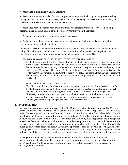• Assistance in changing living arrangements.

• Assistance in arranging other forms of support as appropriate, including on-campus counseling through University Counseling Services, medical assistance through University Health Services, and pastoral care and support through Campus Ministry.

• Assistance with emergency rape crisis treatment and emergency medical services, including accompanying the complainant to the hospital or University Health Services.

• Assistance in contacting community support resources.

• Assistance in seeking assistance from local law enforcement, including assistance in seeking restraining and/or protective orders.

In addition, the Office may impose administrative interim measures to promote the safety and wellbeing of individuals and the broader University community and to protect the integrity of the investigation process. These interim measures include, but are not limited to:

#### *TEMPORARY NO CONTACT ORDERS AND UNIVERSITY STAY AWAY ORDERS*

Students may request that the Office of Student Conduct issue a no-contact order in connection with a sexual misconduct report. If the Office of Student Conduct determines that contact between specific persons may cause concern for the safety or emotional well-being of an individual, a Temporary No Contact Order or University Stay Away Order may be issued. The order will typically include a directive that the involved students refrain from having contact with one another, directly or through third parties, whether in person or via electronic means, until further directed.

#### *OTHER INTERIM ADMINISTRATIVE ACTIONS*

The Director of Student Conduct or designee may take other interim administrative action (see Student Guide section 5.7.7) when a student is deemed to threaten the health, safety, or wellbeing of the University community, threaten or impair the effective functioning of the University, or when a student has been charged with a serious criminal offense. Interim actions may include summary suspension from the University, removal from University housing, suspension of privileges, and other similar measures.

# **b. INVESTIGATION**

For sexual misconduct complaints reported to the Office of Student Conduct or when the University otherwise determines a thorough investigation and/or conduct action is appropriate, the University, under the oversight of the Office of Student Conduct, in consultation with the Student Affairs Title IX Coordinator, will conduct an adjudication of the complaint. At the discretion of the Office of Student Conduct and the Student Affairs Title IX Coordinator, the University may supplement the investigation procedures described below with additional or more detailed procedures, and may utilize one or more alternative approaches to resolving a complaint under this policy in lieu of or in conjunction with the investigation process described below. Alternative approaches may be informal or formal, such as the hearing process described in Section 5.4 of the Student Guide. The complainant and respondent will be notified if the University elects to supplement the procedures or utilize an alternative resolution process.

Investigations under this policy will be conducted by one or more internal and/or external investigators specifically trained in conducting sexual misconduct investigations. In this policy, the term "investigator" will be deemed to include all the investigators charged by the University to investigate the complaint.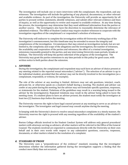The investigation will include one or more interviews with the complainant, the respondent, and any witnesses. The investigation will include the gathering of any physical, documentary, or other relevant and available evidence. As part of the investigation, the University will provide an opportunity for all parties to present written statements, identify witnesses, and submit other relevant evidence and lines of inquiry, as well as the opportunity to review and respond to available evidence. At any time during the process, the investigators may determine that they need additional information from the parties or another source. The investigators also have the discretion to reasonably determine the relevance of submitted evidence. The Office of Student Conduct may require student-witnesses to cooperate with the investigation regardless of the complainant's or respondent's selection of witnesses.

The University will endeavor to complete the investigation within 60 University working days of the investigation's commencement, but this timeframe may be extended to ensure the integrity and completeness of the investigation. Circumstances that may extend an investigation include, but are not limited to, the complexity and scope of the allegations and the investigation, the number of witnesses, the availability and cooperation of the parties and witnesses, the effect of a criminal investigation, extensions reasonably granted to the parties, and any intervening University exam periods, breaks or holidays. The University will keep the parties informed of the progress of the investigation. The University may grant the parties extensions to any time periods in this policy for good cause, with written notice to both parties about the extension.

## **c. ADVISERS**

During the investigation, the complainant and respondent may each have an adviser of choice present at any meeting related to the reported sexual misconduct ("adviser"). The selection of an adviser is up to the individual student, provided that the adviser may not be directly involved in the investigation (as a complainant, respondent, or witness, for example).

The role of the adviser at any meeting is limited. Advisers may not ask questions, interject, coach, advocate for, or otherwise speak on a student's behalf during a meeting. The student and adviser can confer at any point during the meeting, but the adviser may not formulate specific questions, responses, or statements for the student. Violations of the guidelines may result in a warning being issued to the adviser by the investigator(s). Repeated violations may result in the adviser being asked to leave the meeting room. If a student plans to have an adviser present, the student must notify the investigator at least two (2) business days before the meeting.

The University reserves the right to have legal counsel present at any meeting to serve as an adviser to the investigator. The investigator and legal counsel may consult anytime during the meeting.

In keeping with the University's desire to resolve sexual misconduct complaints in a timely manner, the University reserves the right to proceed with any meeting regardless of the availability of the student's adviser. 

Boston College officials involved in the Student Conduct System will address only general procedural matters with attorneys serving as advisers; all other matters will be referred to the Office of the General Counsel. The students involved are expected to communicate directly with the University on their own behalf and in their own words with respect to any substantive questions, concerns, responses, documents, or other matters related to the resolution of a complaint.

#### **d. STANDARD OF PROOF**

The University uses a "preponderance of the evidence" standard, meaning that the investigator determines whether the information gathered during the investigation supports a finding that the conduct more likely than not occurred.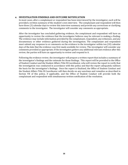# **e. INVESTIGATION FINDINGS AND OUTCOME NOTIFICATION**

In most cases, after a complainant or respondent has been interviewed by the investigator, each will be provided a written summary of the student's own interview. The complainant and respondent will then have three (3) calendar days to review this interview summary and provide any corrections or clarifying comments to the investigator. The investigator will consider any comments as appropriate.

After the investigator has concluded gathering evidence, the complainant and respondent will have an opportunity to review the evidence that the investigator believes may be relevant to making a finding. The evidence may include information provided by the complainant, respondent, any witnesses, and any documentary or other evidence gathered during the investigation. The complainant and respondent must submit any response to or comments on the evidence to the investigator within ten (10) calendar days of the date that the evidence was first made available for review. The investigator will consider any comments provided as appropriate. If the investigator gathers any additional relevant evidence after this review, the parties will have an opportunity to review and respond to it.

Following the evidence review, the investigator will prepare a written report that includes a summary of the investigator's findings and the rationale for those findings. This report will be provided to the Office of Student Conduct and the Student Affairs Title IX Coordinator, who will review the report to verify that the investigation was conducted in accordance with this policy and that the report adequately outlines the basis for the investigator's findings. Once the report is finalized, the Office of Student Conduct and the Student Affairs Title IX Coordinator will then decide on any sanctions and remedies as described in Section VII of this policy, if applicable, and the Office of Student Conduct will provide both the complainant and respondent with simultaneous written notification of the resolution.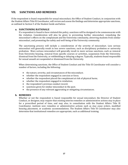# **VII. SANCTIONS AND REMEDIES**

If the respondent is found responsible for sexual misconduct, the Office of Student Conduct, in conjunction with the Student Affairs Title IX Coordinator, will review and assess the findings and determine appropriate sanctions, as outlined in Section 5 of the Student Guide and below.

# **a. SANCTIONING RATIONALE**

If a respondent is found to have violated this policy, sanctions will be designed to be commensurate with the violation. Consideration will also be given to preventing further misconduct, remedying the misconduct's effects on the complainant and the University community, deterring students from similar misconduct, and promoting the safety and well-being of the University community.

The sanctioning process will include a consideration of the severity of misconduct. Less serious misconduct will generally result in less severe sanctions, such as disciplinary probation or university probation. More serious misconduct will generally result in more serious sanctions, such as removal from University housing, removal from specific courses or activities, suspension from the University, dismissal from the University, or withholding or delaying a degree. Typically, students found responsible for sexual assault are suspended or dismissed from the University.

When determining sanctions, the Office of Student Conduct and the Title IX Coordinator will consider a number of factors, including the following:

- the nature, severity, and circumstances of the misconduct;
- whether the respondent engaged in coercion or force;
- whether the respondent placed the complainant at risk of physical harm;
- whether the respondent engaged in retaliation;
- the respondent's previous conduct record;
- sanctions given for similar misconduct in the past;
- the presence of any relevant aggravating or mitigating circumstances.

# **b. REMEDIES**

Whether or not the respondent is found responsible for sexual misconduct, the Director of Student Conduct, or designee, may require that existing interim remedies or administrative actions stay in place for a prescribed period of time, and may also, in consultation with the Student Affairs Title IX Coordinator, institute new remedies or administrative actions such as stay away orders, modified housing placement, or academic accommodations. The Student Affairs Title IX Coordinator may also determine that institutional remedies are appropriate, such as additional training.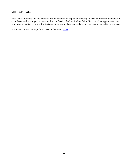# **VIII. APPEALS**

Both the respondent and the complainant may submit an appeal of a finding in a sexual misconduct matter in accordance with the appeal process set forth in Section 5 of the Student Guide. If accepted, an appeal may result in an administrative review of the decision; an appeal will not generally result in a new investigation of the case.

Information about the appeals process can be found **HERE**.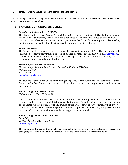# **IX. UNIVERSITY AND OFF-CAMPUS RESOURCES**

Boston College is committed to providing support and assistance to all students affected by sexual misconduct or a report of sexual misconduct.

# **a. UNIVERSITY ON-CAMPUS RESOURCES**

#### *Sexual Assault Network - 617-552-2211*

The Boston College Sexual Assault Network (SANet) is a private, confidential 24/7 hotline for anyone affected by sexual violence, even if the caller is not a victim. The hotline is staffed by trained advocates who can assist callers with information about options available for professional support and counseling, medical evaluation and treatment, evidence collection, and reporting options.

#### *SANet Care Team*

The SANet Care Team advocates for survivors and is located in Maloney Hall 441. They have daily walkin hours on Monday-Friday from 3 P.M. – 4 P.M. and can be reached at 617-552-8099 or sanet@bc.edu. Care Team members provide available options/next steps to survivors or friends of survivors, and accompany survivors on their healing journey.

#### *Student Affairs Title IX Coordinator*

*Melinda Stoops, Associate Vice President for Student Health and Wellness Maloney Hall 412 617-552-3482 melinda.stoops@bc.edu*

The Student Affairs Title IX Coordinator, acting as deputy to the University Title IX Coordinator (*Patricia*) *Lowe; patricia.lowe@bc.edu*), oversees the University's response to complaints of student sexual misconduct. 

#### *Boston College Police Department*

*Maloney Hall, 1st Floor, 617-552-4444*

Officers are trained and available 24/7 to respond to victims and to provide assistance with medical treatment and in pursuing complaints both on and off campus. If a student chooses to report the incident to the Boston College Police, a specially trained officer will conduct an investigation, which involves asking the student to describe the respondent and what happened. An officer may ask questions about the scene of the crime, any witnesses, and what happened before and after.

#### *Boston College Harassment Counselor*

*Linda Riley 129 Lake Street, 340A 617-552-0486 linda.riley@bc.edu*

The University Harassment Counselor is responsible for responding to complaints of harassment brought against faculty and staff in accordance with the Discriminatory Harassment Policy.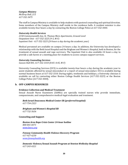#### *Campus Ministry*

*McElroy Hall, 215 617-552-3475*

The staff in Campus Ministry is available to help students with pastoral counseling and spiritual direction. Some members of the Campus Ministry staff reside in the residence halls. A resident minister is also available twenty-four hours a day by contacting the Boston College Police at 617-552-4444.

#### *University Health Services*

*2150 Commonwealth Ave, St. Thomas More Apartments, Ground Level Outpatient Unit - 617-552-3225 (9-5, M-F) Inpatient Unit* - 617-552-3225 (24 hours a day during the academic year)

Medical personnel are available on campus 24 hours a day. In addition, the University has developed a relationship with the Beth Israel Hospital and the Brigham and Women's Hospital, both in Boston, for the treatment of sexual assault and rape survivors. The Inpatient Unit is also available 24 hours a day to provide a safe haven or a meeting place for students to access campus support services.

#### *University Counseling Services*

*Gasson Hall 001, 617-552-3310 (8:45–4:45, M-F)*

University Counseling Services (UCS) is available twenty-four hours a day during the academic year to assist students affected by sexual misconduct or a report of sexual misconduct. UCS is available during normal business hours at 617-552-3310. During nights, weekends and holidays, a University clinician is available on call by contacting either Boston College Health Services (617-552-3225) or the Boston College Police (*617-552-4444*).

# **b. OFF-CAMPUS RESOURCES**

#### **Evidence Collection and Medical Treatment**

Sexual Assault Nurse Examiners (SANEs) are specially trained nurses who provide immediate, compassionate, and comprehensive medical-legal evaluation and treatment.

#### **Beth Israel Deaconess Medical Center ER (preferred hospital)** *617-754-2323*

*Brigham and Women's Hospital ER 617-732-5636*

#### **Counseling and Support**

*Boston Area Rape Crisis Center 24-hour hotline 800-841-8371 www.barcc.org*

*Fenway Community Health Violence Recovery Program 617-927-6250 www.fenwayhealth.org*

# *Domestic Violence/Sexual Assault Program at Newton Wellesley Hospital 617-243-6521*